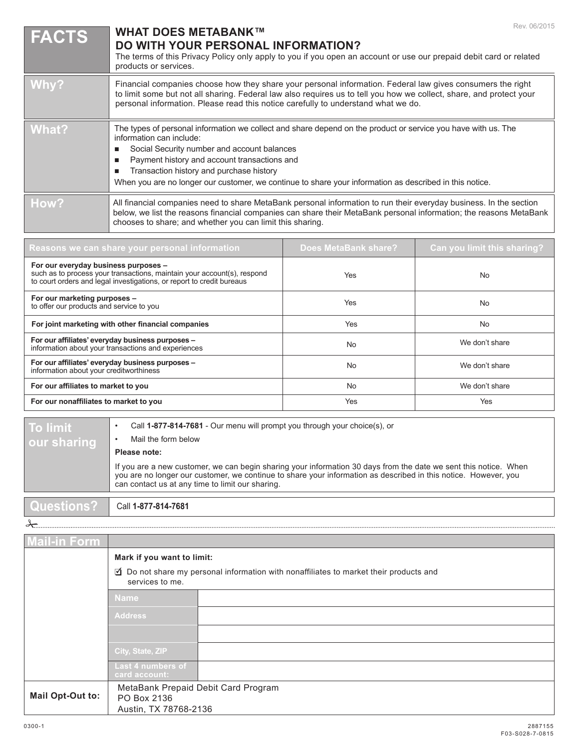| <b>FACTS</b> | Rev. 06/2015<br><b>WHAT DOES METABANK™</b><br><b>DO WITH YOUR PERSONAL INFORMATION?</b><br>The terms of this Privacy Policy only apply to you if you open an account or use our prepaid debit card or related<br>products or services.                                                                                                                                                          |
|--------------|-------------------------------------------------------------------------------------------------------------------------------------------------------------------------------------------------------------------------------------------------------------------------------------------------------------------------------------------------------------------------------------------------|
| Why?         | Financial companies choose how they share your personal information. Federal law gives consumers the right<br>to limit some but not all sharing. Federal law also requires us to tell you how we collect, share, and protect your<br>personal information. Please read this notice carefully to understand what we do.                                                                          |
| What?        | The types of personal information we collect and share depend on the product or service you have with us. The<br>information can include:<br>Social Security number and account balances<br>Payment history and account transactions and<br>Transaction history and purchase history<br>When you are no longer our customer, we continue to share your information as described in this notice. |
| How?         | All financial companies need to share MetaBank personal information to run their everyday business. In the section<br>below, we list the reasons financial companies can share their MetaBank personal information; the reasons MetaBank<br>chooses to share; and whether you can limit this sharing.                                                                                           |

| Reasons we can share your personal information                                                                                                                                           | <b>Does MetaBank share?</b> | Can you limit this sharing? |  |
|------------------------------------------------------------------------------------------------------------------------------------------------------------------------------------------|-----------------------------|-----------------------------|--|
| For our everyday business purposes -<br>such as to process your transactions, maintain your account(s), respond<br>to court orders and legal investigations, or report to credit bureaus | Yes                         | <b>No</b>                   |  |
| For our marketing purposes -<br>to offer our products and service to you                                                                                                                 | Yes                         | <b>No</b>                   |  |
| For joint marketing with other financial companies                                                                                                                                       | Yes                         | No                          |  |
| For our affiliates' everyday business purposes -<br>information about your transactions and experiences                                                                                  | No.                         | We don't share              |  |
| For our affiliates' everyday business purposes -<br>information about your creditworthiness                                                                                              | N <sub>0</sub>              | We don't share              |  |
| For our affiliates to market to you                                                                                                                                                      | <b>No</b>                   | We don't share              |  |
| For our nonaffiliates to market to you                                                                                                                                                   | Yes                         | Yes                         |  |

## **To limit our sharing**

• Call **1-877-814-7681** - Our menu will prompt you through your choice(s), or

**Please note:**

• Mail the form below

If you are a new customer, we can begin sharing your information 30 days from the date we sent this notice. When you are no longer our customer, we continue to share your information as described in this notice. However, you can contact us at any time to limit our sharing.

**Questions?** Call **1-877-814-7681**

 $\frac{1}{2}$ 

| <b>Mail-in Form</b> |                                                                                                                |  |  |  |  |
|---------------------|----------------------------------------------------------------------------------------------------------------|--|--|--|--|
|                     | Mark if you want to limit:                                                                                     |  |  |  |  |
|                     | $\Box$ Do not share my personal information with nonaffiliates to market their products and<br>services to me. |  |  |  |  |
|                     | <b>Name</b>                                                                                                    |  |  |  |  |
|                     | Address                                                                                                        |  |  |  |  |
|                     |                                                                                                                |  |  |  |  |
|                     | City, State, ZIP                                                                                               |  |  |  |  |
|                     | Last 4 numbers of<br>card account:                                                                             |  |  |  |  |
| Mail Opt-Out to:    | MetaBank Prepaid Debit Card Program<br>PO Box 2136<br>Austin, TX 78768-2136                                    |  |  |  |  |